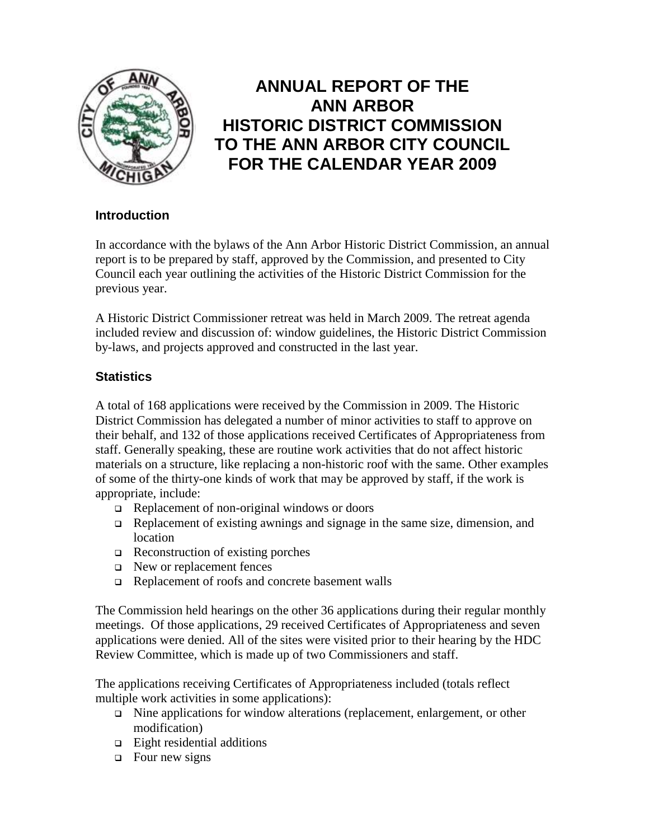

# **ANNUAL REPORT OF THE ANN ARBOR HISTORIC DISTRICT COMMISSION TO THE ANN ARBOR CITY COUNCIL FOR THE CALENDAR YEAR 2009**

# **Introduction**

In accordance with the bylaws of the Ann Arbor Historic District Commission, an annual report is to be prepared by staff, approved by the Commission, and presented to City Council each year outlining the activities of the Historic District Commission for the previous year.

A Historic District Commissioner retreat was held in March 2009. The retreat agenda included review and discussion of: window guidelines, the Historic District Commission by-laws, and projects approved and constructed in the last year.

# **Statistics**

A total of 168 applications were received by the Commission in 2009. The Historic District Commission has delegated a number of minor activities to staff to approve on their behalf, and 132 of those applications received Certificates of Appropriateness from staff. Generally speaking, these are routine work activities that do not affect historic materials on a structure, like replacing a non-historic roof with the same. Other examples of some of the thirty-one kinds of work that may be approved by staff, if the work is appropriate, include:

- $\Box$  Replacement of non-original windows or doors
- Replacement of existing awnings and signage in the same size, dimension, and location
- $\Box$  Reconstruction of existing porches
- New or replacement fences
- Replacement of roofs and concrete basement walls

The Commission held hearings on the other 36 applications during their regular monthly meetings. Of those applications, 29 received Certificates of Appropriateness and seven applications were denied. All of the sites were visited prior to their hearing by the HDC Review Committee, which is made up of two Commissioners and staff.

The applications receiving Certificates of Appropriateness included (totals reflect multiple work activities in some applications):

- Nine applications for window alterations (replacement, enlargement, or other modification)
- $\Box$  Eight residential additions
- $\Box$  Four new signs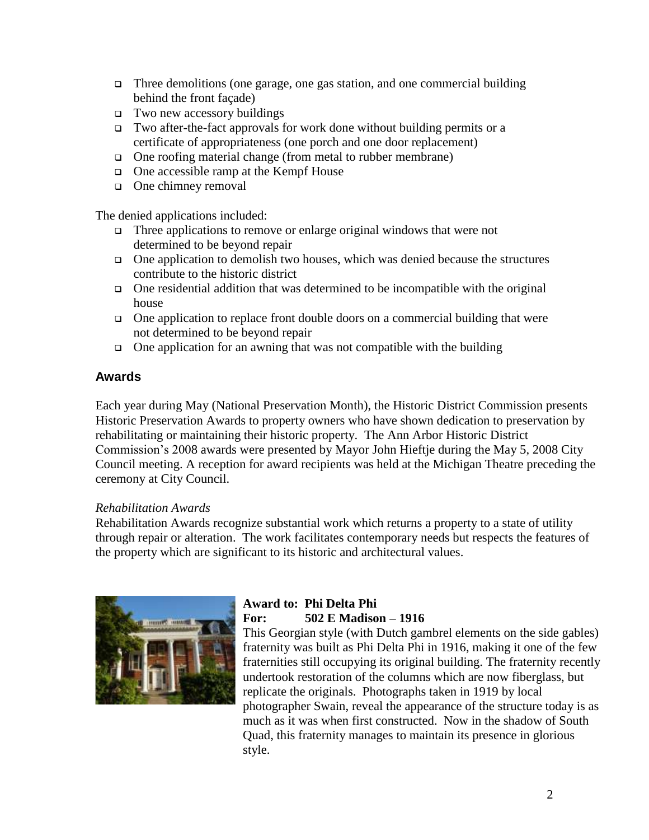- $\Box$  Three demolitions (one garage, one gas station, and one commercial building behind the front façade)
- $\Box$  Two new accessory buildings
- $\Box$  Two after-the-fact approvals for work done without building permits or a certificate of appropriateness (one porch and one door replacement)
- One roofing material change (from metal to rubber membrane)
- One accessible ramp at the Kempf House
- □ One chimney removal

The denied applications included:

- $\Box$  Three applications to remove or enlarge original windows that were not determined to be beyond repair
- $\Box$  One application to demolish two houses, which was denied because the structures contribute to the historic district
- $\Box$  One residential addition that was determined to be incompatible with the original house
- One application to replace front double doors on a commercial building that were not determined to be beyond repair
- $\Box$  One application for an awning that was not compatible with the building

# **Awards**

Each year during May (National Preservation Month), the Historic District Commission presents Historic Preservation Awards to property owners who have shown dedication to preservation by rehabilitating or maintaining their historic property. The Ann Arbor Historic District Commission"s 2008 awards were presented by Mayor John Hieftje during the May 5, 2008 City Council meeting. A reception for award recipients was held at the Michigan Theatre preceding the ceremony at City Council.

#### *Rehabilitation Awards*

Rehabilitation Awards recognize substantial work which returns a property to a state of utility through repair or alteration. The work facilitates contemporary needs but respects the features of the property which are significant to its historic and architectural values.



# **Award to: Phi Delta Phi For: 502 E Madison – 1916**

This Georgian style (with Dutch gambrel elements on the side gables) fraternity was built as Phi Delta Phi in 1916, making it one of the few fraternities still occupying its original building. The fraternity recently undertook restoration of the columns which are now fiberglass, but replicate the originals. Photographs taken in 1919 by local photographer Swain, reveal the appearance of the structure today is as much as it was when first constructed. Now in the shadow of South Quad, this fraternity manages to maintain its presence in glorious style.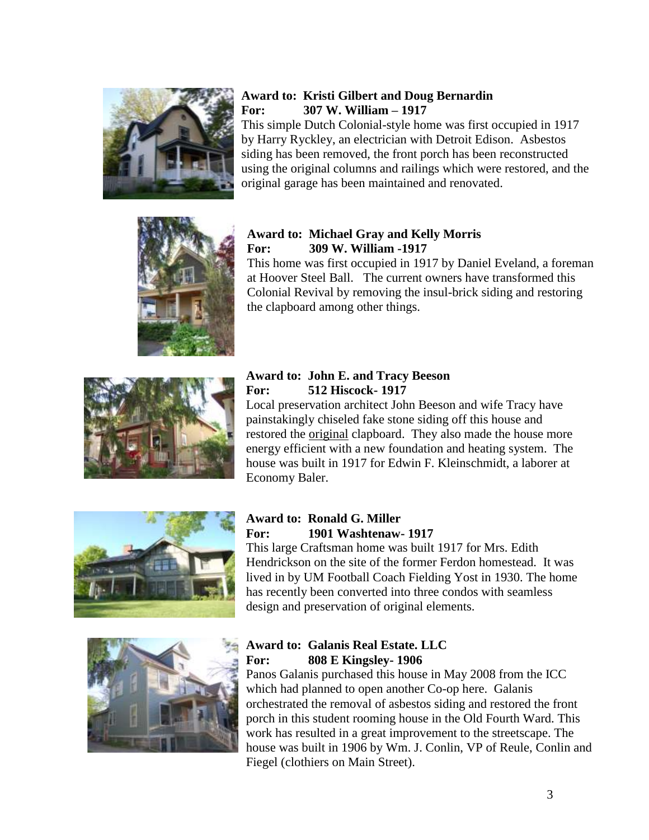

# **Award to: Kristi Gilbert and Doug Bernardin For: 307 W. William – 1917**

This simple Dutch Colonial-style home was first occupied in 1917 by Harry Ryckley, an electrician with Detroit Edison. Asbestos siding has been removed, the front porch has been reconstructed using the original columns and railings which were restored, and the original garage has been maintained and renovated.



### **Award to: Michael Gray and Kelly Morris For: 309 W. William -1917**

This home was first occupied in 1917 by Daniel Eveland, a foreman at Hoover Steel Ball. The current owners have transformed this Colonial Revival by removing the insul-brick siding and restoring the clapboard among other things.



### **Award to: John E. and Tracy Beeson For: 512 Hiscock- 1917**

Local preservation architect John Beeson and wife Tracy have painstakingly chiseled fake stone siding off this house and restored the original clapboard. They also made the house more energy efficient with a new foundation and heating system. The house was built in 1917 for Edwin F. Kleinschmidt, a laborer at Economy Baler.



# **Award to: Ronald G. Miller For: 1901 Washtenaw- 1917**

This large Craftsman home was built 1917 for Mrs. Edith Hendrickson on the site of the former Ferdon homestead. It was lived in by UM Football Coach Fielding Yost in 1930. The home has recently been converted into three condos with seamless design and preservation of original elements.



# **Award to: Galanis Real Estate. LLC For: 808 E Kingsley- 1906**

Panos Galanis purchased this house in May 2008 from the ICC which had planned to open another Co-op here. Galanis orchestrated the removal of asbestos siding and restored the front porch in this student rooming house in the Old Fourth Ward. This work has resulted in a great improvement to the streetscape. The house was built in 1906 by Wm. J. Conlin, VP of Reule, Conlin and Fiegel (clothiers on Main Street).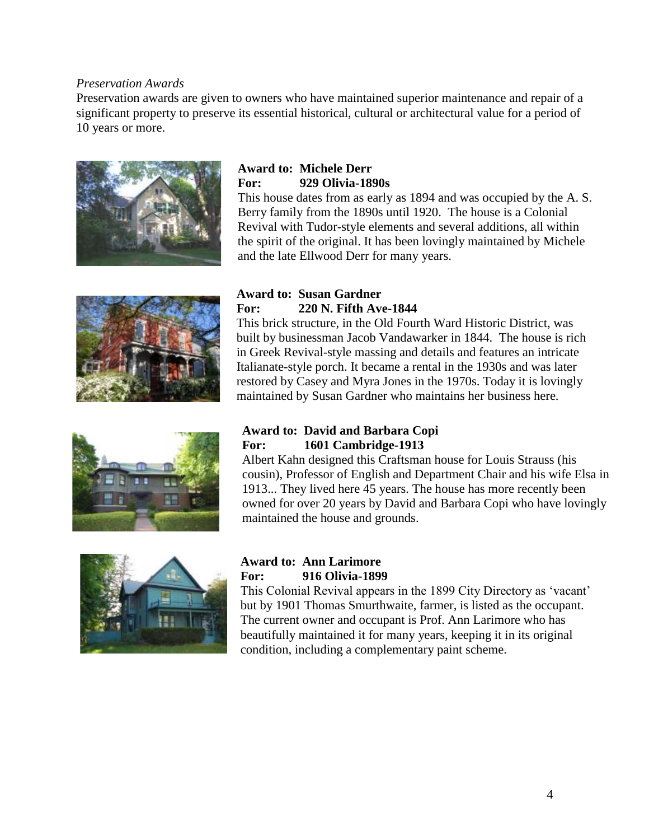#### *Preservation Awards*

Preservation awards are given to owners who have maintained superior maintenance and repair of a significant property to preserve its essential historical, cultural or architectural value for a period of 10 years or more.



# **Award to: Michele Derr For: 929 Olivia-1890s**

This house dates from as early as 1894 and was occupied by the A. S. Berry family from the 1890s until 1920. The house is a Colonial Revival with Tudor-style elements and several additions, all within the spirit of the original. It has been lovingly maintained by Michele and the late Ellwood Derr for many years.



#### **Award to: Susan Gardner For: 220 N. Fifth Ave-1844**

This brick structure, in the Old Fourth Ward Historic District, was built by businessman Jacob Vandawarker in 1844. The house is rich in Greek Revival-style massing and details and features an intricate Italianate-style porch. It became a rental in the 1930s and was later restored by Casey and Myra Jones in the 1970s. Today it is lovingly maintained by Susan Gardner who maintains her business here.



#### **Award to: David and Barbara Copi For: 1601 Cambridge-1913**

Albert Kahn designed this Craftsman house for Louis Strauss (his cousin), Professor of English and Department Chair and his wife Elsa in 1913... They lived here 45 years. The house has more recently been owned for over 20 years by David and Barbara Copi who have lovingly maintained the house and grounds.



#### **Award to: Ann Larimore For: 916 Olivia-1899**

This Colonial Revival appears in the 1899 City Directory as "vacant" but by 1901 Thomas Smurthwaite, farmer, is listed as the occupant. The current owner and occupant is Prof. Ann Larimore who has beautifully maintained it for many years, keeping it in its original condition, including a complementary paint scheme.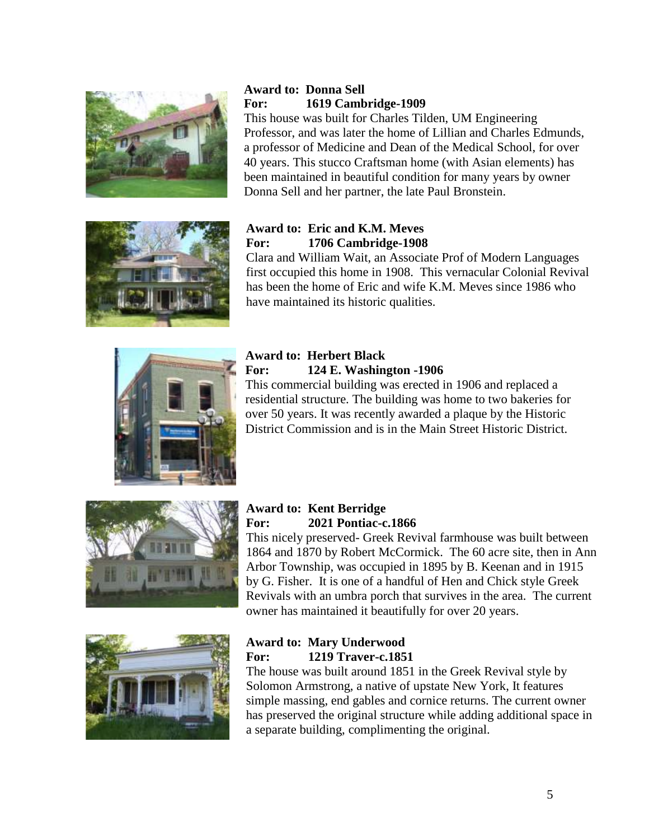

# **Award to: Donna Sell For: 1619 Cambridge-1909**

This house was built for Charles Tilden, UM Engineering Professor, and was later the home of Lillian and Charles Edmunds, a professor of Medicine and Dean of the Medical School, for over 40 years. This stucco Craftsman home (with Asian elements) has been maintained in beautiful condition for many years by owner Donna Sell and her partner, the late Paul Bronstein.



# **Award to: Eric and K.M. Meves For: 1706 Cambridge-1908**

Clara and William Wait, an Associate Prof of Modern Languages first occupied this home in 1908. This vernacular Colonial Revival has been the home of Eric and wife K.M. Meves since 1986 who have maintained its historic qualities.



# **Award to: Herbert Black For: 124 E. Washington -1906**

This commercial building was erected in 1906 and replaced a residential structure. The building was home to two bakeries for over 50 years. It was recently awarded a plaque by the Historic District Commission and is in the Main Street Historic District.



# **Award to: Kent Berridge For: 2021 Pontiac-c.1866**

This nicely preserved- Greek Revival farmhouse was built between 1864 and 1870 by Robert McCormick. The 60 acre site, then in Ann Arbor Township, was occupied in 1895 by B. Keenan and in 1915 by G. Fisher. It is one of a handful of Hen and Chick style Greek Revivals with an umbra porch that survives in the area. The current owner has maintained it beautifully for over 20 years.



# **Award to: Mary Underwood For: 1219 Traver-c.1851**

The house was built around 1851 in the Greek Revival style by Solomon Armstrong, a native of upstate New York, It features simple massing, end gables and cornice returns. The current owner has preserved the original structure while adding additional space in a separate building, complimenting the original.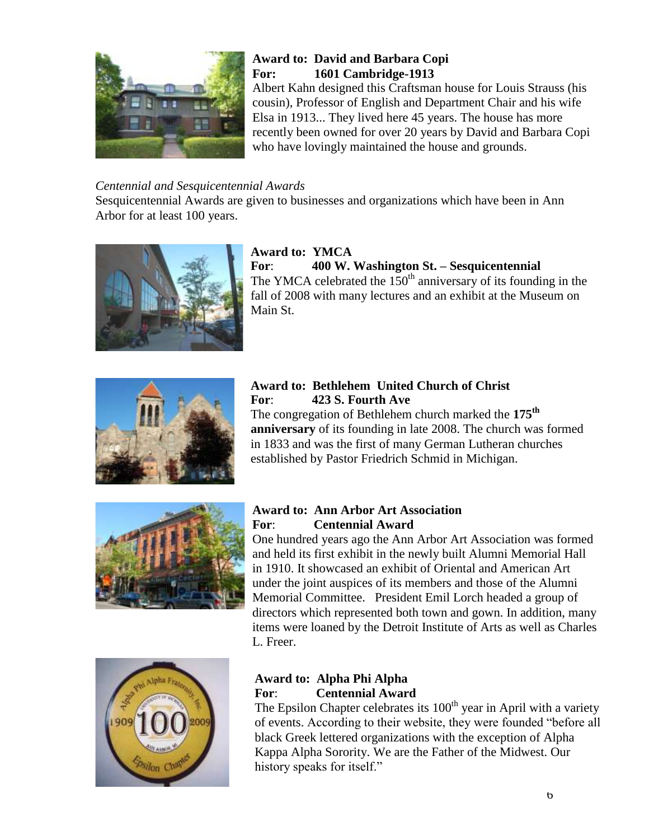

# **Award to: David and Barbara Copi For: 1601 Cambridge-1913**

Albert Kahn designed this Craftsman house for Louis Strauss (his cousin), Professor of English and Department Chair and his wife Elsa in 1913... They lived here 45 years. The house has more recently been owned for over 20 years by David and Barbara Copi who have lovingly maintained the house and grounds.

# *Centennial and Sesquicentennial Awards*

Sesquicentennial Awards are given to businesses and organizations which have been in Ann Arbor for at least 100 years.



### **Award to: YMCA For**: **400 W. Washington St. – Sesquicentennial** The YMCA celebrated the  $150<sup>th</sup>$  anniversary of its founding in the fall of 2008 with many lectures and an exhibit at the Museum on Main St.



# **Award to: Bethlehem United Church of Christ For**: **423 S. Fourth Ave**

The congregation of Bethlehem church marked the **175th anniversary** of its founding in late 2008. The church was formed in 1833 and was the first of many German Lutheran churches established by Pastor Friedrich Schmid in Michigan.



### **Award to: Ann Arbor Art Association For**: **Centennial Award**

One hundred years ago the Ann Arbor Art Association was formed and held its first exhibit in the newly built Alumni Memorial Hall in 1910. It showcased an exhibit of Oriental and American Art under the joint auspices of its members and those of the Alumni Memorial Committee. President Emil Lorch headed a group of directors which represented both town and gown. In addition, many items were loaned by the Detroit Institute of Arts as well as Charles L. Freer.



# **Award to: Alpha Phi Alpha For**: **Centennial Award**

The Epsilon Chapter celebrates its  $100<sup>th</sup>$  year in April with a variety of events. According to their website, they were founded "before all black Greek lettered organizations with the exception of Alpha Kappa Alpha Sorority. We are the Father of the Midwest. Our history speaks for itself."